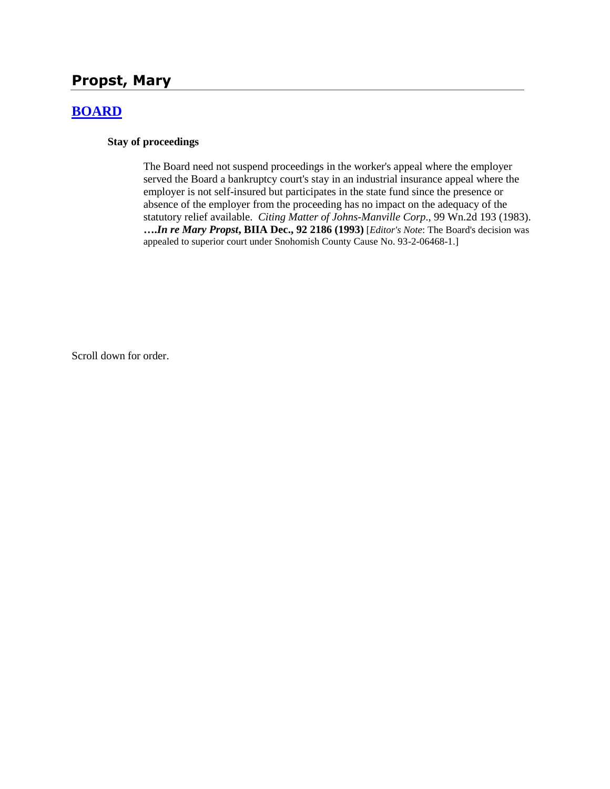# **Propst, Mary**

## **[BOARD](http://www.biia.wa.gov/SDSubjectIndex.html#BOARD)**

### **Stay of proceedings**

The Board need not suspend proceedings in the worker's appeal where the employer served the Board a bankruptcy court's stay in an industrial insurance appeal where the employer is not self-insured but participates in the state fund since the presence or absence of the employer from the proceeding has no impact on the adequacy of the statutory relief available. *Citing Matter of Johns-Manville Corp*., 99 Wn.2d 193 (1983). **….***In re Mary Propst***, BIIA Dec., 92 2186 (1993)** [*Editor's Note*: The Board's decision was appealed to superior court under Snohomish County Cause No. 93-2-06468-1.]

Scroll down for order.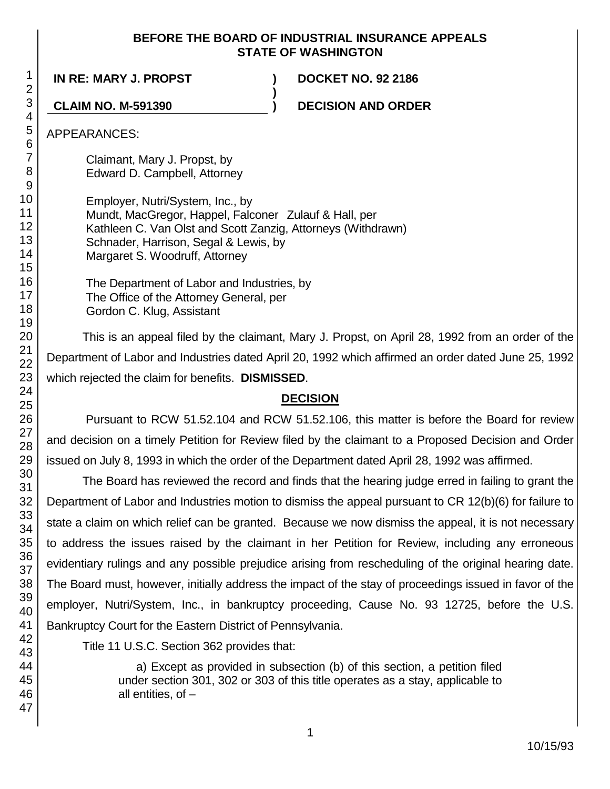### **BEFORE THE BOARD OF INDUSTRIAL INSURANCE APPEALS STATE OF WASHINGTON**

**)**

**IN RE: MARY J. PROPST ) DOCKET NO. 92 2186**

**CLAIM NO. M-591390 ) DECISION AND ORDER**

APPEARANCES:

Claimant, Mary J. Propst, by Edward D. Campbell, Attorney

Employer, Nutri/System, Inc., by Mundt, MacGregor, Happel, Falconer Zulauf & Hall, per Kathleen C. Van Olst and Scott Zanzig, Attorneys (Withdrawn) Schnader, Harrison, Segal & Lewis, by Margaret S. Woodruff, Attorney

The Department of Labor and Industries, by The Office of the Attorney General, per Gordon C. Klug, Assistant

This is an appeal filed by the claimant, Mary J. Propst, on April 28, 1992 from an order of the Department of Labor and Industries dated April 20, 1992 which affirmed an order dated June 25, 1992 which rejected the claim for benefits. **DISMISSED**.

# **DECISION**

Pursuant to RCW 51.52.104 and RCW 51.52.106, this matter is before the Board for review and decision on a timely Petition for Review filed by the claimant to a Proposed Decision and Order issued on July 8, 1993 in which the order of the Department dated April 28, 1992 was affirmed.

The Board has reviewed the record and finds that the hearing judge erred in failing to grant the Department of Labor and Industries motion to dismiss the appeal pursuant to CR 12(b)(6) for failure to state a claim on which relief can be granted. Because we now dismiss the appeal, it is not necessary to address the issues raised by the claimant in her Petition for Review, including any erroneous evidentiary rulings and any possible prejudice arising from rescheduling of the original hearing date. The Board must, however, initially address the impact of the stay of proceedings issued in favor of the employer, Nutri/System, Inc., in bankruptcy proceeding, Cause No. 93 12725, before the U.S. Bankruptcy Court for the Eastern District of Pennsylvania.

Title 11 U.S.C. Section 362 provides that:

a) Except as provided in subsection (b) of this section, a petition filed under section 301, 302 or 303 of this title operates as a stay, applicable to all entities, of –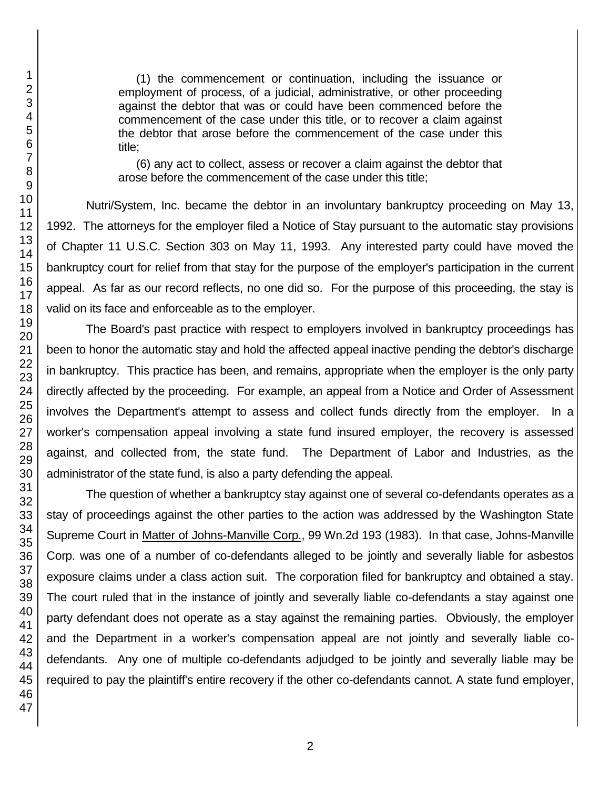(1) the commencement or continuation, including the issuance or employment of process, of a judicial, administrative, or other proceeding against the debtor that was or could have been commenced before the commencement of the case under this title, or to recover a claim against the debtor that arose before the commencement of the case under this title;

(6) any act to collect, assess or recover a claim against the debtor that arose before the commencement of the case under this title;

Nutri/System, Inc. became the debtor in an involuntary bankruptcy proceeding on May 13, 1992. The attorneys for the employer filed a Notice of Stay pursuant to the automatic stay provisions of Chapter 11 U.S.C. Section 303 on May 11, 1993. Any interested party could have moved the bankruptcy court for relief from that stay for the purpose of the employer's participation in the current appeal. As far as our record reflects, no one did so. For the purpose of this proceeding, the stay is valid on its face and enforceable as to the employer.

The Board's past practice with respect to employers involved in bankruptcy proceedings has been to honor the automatic stay and hold the affected appeal inactive pending the debtor's discharge in bankruptcy. This practice has been, and remains, appropriate when the employer is the only party directly affected by the proceeding. For example, an appeal from a Notice and Order of Assessment involves the Department's attempt to assess and collect funds directly from the employer. In a worker's compensation appeal involving a state fund insured employer, the recovery is assessed against, and collected from, the state fund. The Department of Labor and Industries, as the administrator of the state fund, is also a party defending the appeal.

The question of whether a bankruptcy stay against one of several co-defendants operates as a stay of proceedings against the other parties to the action was addressed by the Washington State Supreme Court in Matter of Johns-Manville Corp., 99 Wn.2d 193 (1983). In that case, Johns-Manville Corp. was one of a number of co-defendants alleged to be jointly and severally liable for asbestos exposure claims under a class action suit. The corporation filed for bankruptcy and obtained a stay. The court ruled that in the instance of jointly and severally liable co-defendants a stay against one party defendant does not operate as a stay against the remaining parties. Obviously, the employer and the Department in a worker's compensation appeal are not jointly and severally liable codefendants. Any one of multiple co-defendants adjudged to be jointly and severally liable may be required to pay the plaintiff's entire recovery if the other co-defendants cannot. A state fund employer,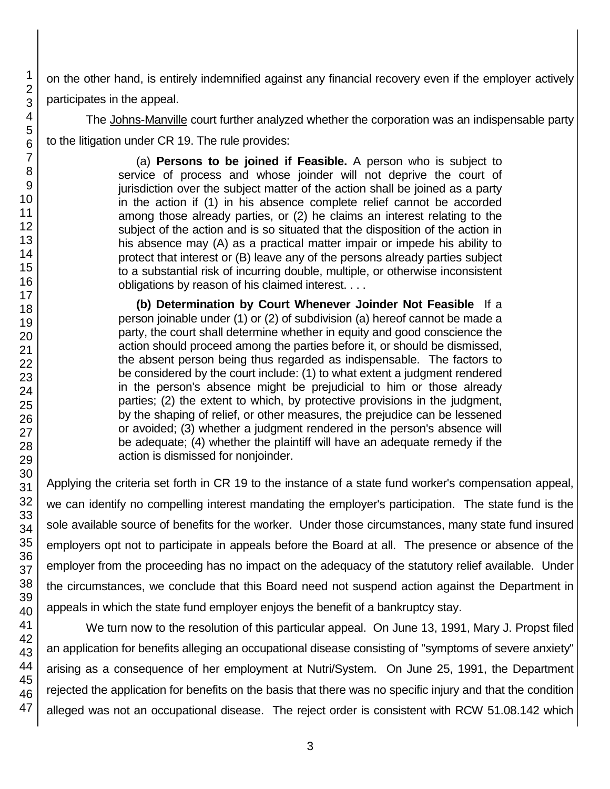on the other hand, is entirely indemnified against any financial recovery even if the employer actively participates in the appeal.

The Johns-Manville court further analyzed whether the corporation was an indispensable party to the litigation under CR 19. The rule provides:

> (a) **Persons to be joined if Feasible.** A person who is subject to service of process and whose joinder will not deprive the court of jurisdiction over the subject matter of the action shall be joined as a party in the action if (1) in his absence complete relief cannot be accorded among those already parties, or (2) he claims an interest relating to the subject of the action and is so situated that the disposition of the action in his absence may (A) as a practical matter impair or impede his ability to protect that interest or (B) leave any of the persons already parties subject to a substantial risk of incurring double, multiple, or otherwise inconsistent obligations by reason of his claimed interest. . . .

> **(b) Determination by Court Whenever Joinder Not Feasible** If a person joinable under (1) or (2) of subdivision (a) hereof cannot be made a party, the court shall determine whether in equity and good conscience the action should proceed among the parties before it, or should be dismissed, the absent person being thus regarded as indispensable. The factors to be considered by the court include: (1) to what extent a judgment rendered in the person's absence might be prejudicial to him or those already parties; (2) the extent to which, by protective provisions in the judgment, by the shaping of relief, or other measures, the prejudice can be lessened or avoided; (3) whether a judgment rendered in the person's absence will be adequate; (4) whether the plaintiff will have an adequate remedy if the action is dismissed for nonjoinder.

Applying the criteria set forth in CR 19 to the instance of a state fund worker's compensation appeal, we can identify no compelling interest mandating the employer's participation. The state fund is the sole available source of benefits for the worker. Under those circumstances, many state fund insured employers opt not to participate in appeals before the Board at all. The presence or absence of the employer from the proceeding has no impact on the adequacy of the statutory relief available. Under the circumstances, we conclude that this Board need not suspend action against the Department in appeals in which the state fund employer enjoys the benefit of a bankruptcy stay.

We turn now to the resolution of this particular appeal. On June 13, 1991, Mary J. Propst filed an application for benefits alleging an occupational disease consisting of "symptoms of severe anxiety" arising as a consequence of her employment at Nutri/System. On June 25, 1991, the Department rejected the application for benefits on the basis that there was no specific injury and that the condition alleged was not an occupational disease. The reject order is consistent with RCW 51.08.142 which

1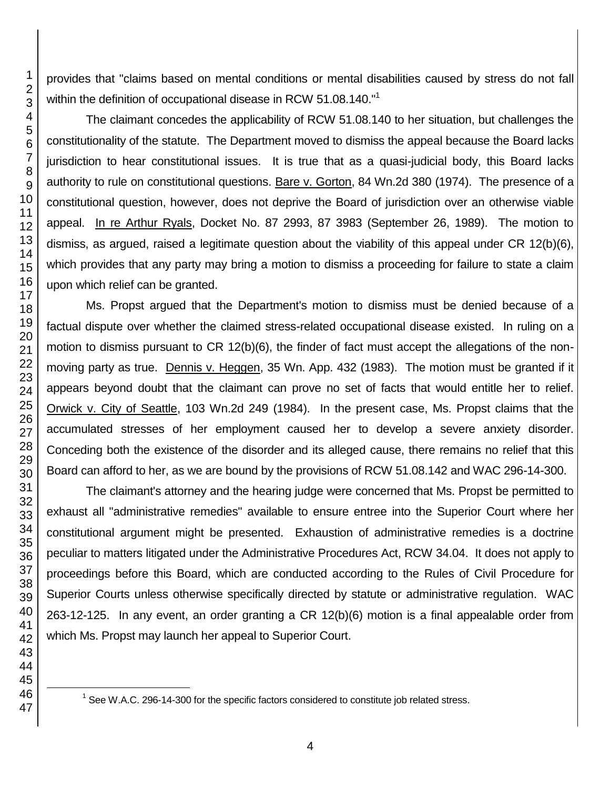provides that "claims based on mental conditions or mental disabilities caused by stress do not fall within the definition of occupational disease in RCW 51.08.140."<sup>1</sup>

The claimant concedes the applicability of RCW 51.08.140 to her situation, but challenges the constitutionality of the statute. The Department moved to dismiss the appeal because the Board lacks jurisdiction to hear constitutional issues. It is true that as a quasi-judicial body, this Board lacks authority to rule on constitutional questions. Bare v. Gorton, 84 Wn.2d 380 (1974). The presence of a constitutional question, however, does not deprive the Board of jurisdiction over an otherwise viable appeal. In re Arthur Ryals, Docket No. 87 2993, 87 3983 (September 26, 1989). The motion to dismiss, as argued, raised a legitimate question about the viability of this appeal under CR 12(b)(6), which provides that any party may bring a motion to dismiss a proceeding for failure to state a claim upon which relief can be granted.

Ms. Propst argued that the Department's motion to dismiss must be denied because of a factual dispute over whether the claimed stress-related occupational disease existed. In ruling on a motion to dismiss pursuant to CR 12(b)(6), the finder of fact must accept the allegations of the nonmoving party as true. Dennis v. Heggen, 35 Wn. App. 432 (1983). The motion must be granted if it appears beyond doubt that the claimant can prove no set of facts that would entitle her to relief. Orwick v. City of Seattle, 103 Wn.2d 249 (1984). In the present case, Ms. Propst claims that the accumulated stresses of her employment caused her to develop a severe anxiety disorder. Conceding both the existence of the disorder and its alleged cause, there remains no relief that this Board can afford to her, as we are bound by the provisions of RCW 51.08.142 and WAC 296-14-300.

The claimant's attorney and the hearing judge were concerned that Ms. Propst be permitted to exhaust all "administrative remedies" available to ensure entree into the Superior Court where her constitutional argument might be presented. Exhaustion of administrative remedies is a doctrine peculiar to matters litigated under the Administrative Procedures Act, RCW 34.04. It does not apply to proceedings before this Board, which are conducted according to the Rules of Civil Procedure for Superior Courts unless otherwise specifically directed by statute or administrative regulation. WAC 263-12-125. In any event, an order granting a CR 12(b)(6) motion is a final appealable order from which Ms. Propst may launch her appeal to Superior Court.

See W.A.C. 296-14-300 for the specific factors considered to constitute job related stress.

l